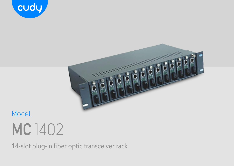



# **MC** 1402 Model

14-slot plug-in fiber optic transceiver rack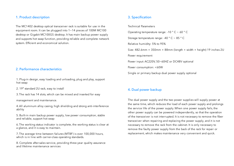## 1. Product description 1. Product description

The MC1402 desktop optical transceiver rack is suitable for use in the equipment room. It can be plugged into 1~14 pieces of 100M MC100 desktop or Gigabit MC100GS desktop. It has main backup power supply and supports hot swap function, providing reliable and complete network system. Efficient and economical solution.

## 2. Performance characteristics

1. Plug-in design, easy loading and unloading, plug and play, support hot swap

2. 19′′ standard 2U rack, easy to install

3. The rack has 14 slots, which can be mixed and inserted for easy

management and maintenance.

4. All aluminum alloy casing, high shielding and strong anti-interference ability

5. Built-in main backup power supply, low power consumption, stable and reliable, support hot swap

6. The working status indicator is complete, the working status is clear at a glance, and it is easy to maintain.

7. The average time between failures (MTBF) is over 100,000 hours, which is in line with carrier-class operating standards.

8. Complete after-sales service, providing three-year quality assurance and lifetime maintenance services

Technical Parameters Operating temperature range: -10 ° C ~ 60 ° C Storage temperature range: -40 ° C ~ 85 ° C Relative humidity: 5% to 95% Size: 482.6mm × 350mm × 88mm (length × width × height) 19 inches 2U Power requirement Power input: AC220V, 50~60HZ or DC48V optional Power consumption: <60W Single or primary backup dual power supply optional

## 4. Dual power backup

The dual power supply and the two power supplies will supply power at the same time, which reduces the load of each power supply and prolongs the service life of the power supply. When one power supply fails, the other power supply can be powered independently, so that the operation of the transceiver is not interrupted. It is not necessary to remove the fiber transceiver when repairing and replacing the power supply, and it is not necessary to remove the rack from the cabinet. It is only necessary to remove the faulty power supply from the back of the rack for repair or replacement, which makes maintenance very convenient and quick.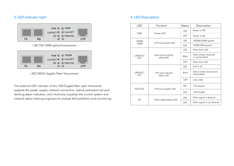# 5. LED Indicator light 6. LED Description



( MC100 100M optical transceiver)



( MC100GS Gigabit Fiber Transceiver)

The external LED indicator of the 100/Gigabit fiber optic transceiver supports the power supply, network connection, optical port/electrical port working status indication, and intuitively visualizes the current system and network status, helping engineers to analyze field problems and monitoring.

| LED              | Function                         | <b>Status</b> | Description                             |
|------------------|----------------------------------|---------------|-----------------------------------------|
| <b>PWR</b>       | Power LED                        | ON            | Power is ON                             |
|                  |                                  | OFF           | Power is Fail                           |
| 1000M<br>100M    | UTP port speed LED               | ON            | 1000M(100M) speed                       |
|                  |                                  | OFF           | 100M(10M) speed                         |
| LINK/ACT<br>(FP) | Fiber port Link/Act<br>statusLED | ON            | Fiber link is OK                        |
|                  |                                  | Blink         | Data is been received<br>or transmitted |
|                  |                                  | OFF           | Fiber link is fail                      |
| LINK/ACT<br>(TP) | UTP port Link/Act<br>status LED  | ON            | Link is ok                              |
|                  |                                  | Blink         | Data is been received or<br>transmitted |
|                  |                                  | OFF           | Link is fall                            |
| FDX/COL          | UTP port duplex LED              | ON            | Full duplex                             |
|                  |                                  | OFF           | Half duplex                             |
| <b>SD</b>        | Fiber signal status LED          | ON            | Fiber signal is detectd                 |
|                  |                                  | OFF           | Fiber signal is not detectd             |